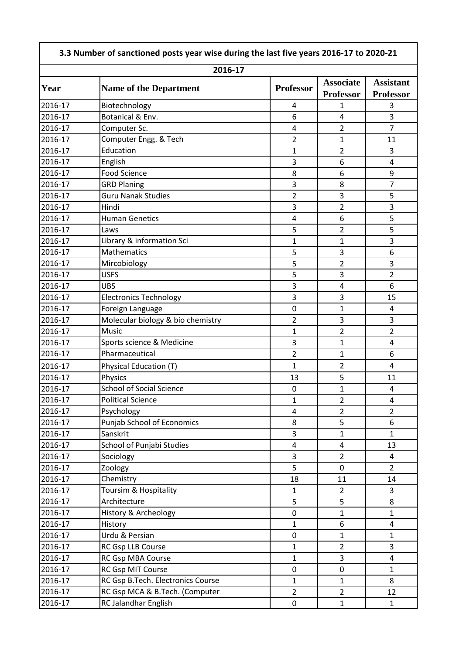| 2016-17            |                                                                     |                         |                                      |                                      |
|--------------------|---------------------------------------------------------------------|-------------------------|--------------------------------------|--------------------------------------|
| Year               | <b>Name of the Department</b>                                       | <b>Professor</b>        | <b>Associate</b><br><b>Professor</b> | <b>Assistant</b><br><b>Professor</b> |
| 2016-17            | Biotechnology                                                       | 4                       | 1                                    | 3                                    |
| 2016-17            | Botanical & Env.                                                    | 6                       | $\overline{4}$                       | 3                                    |
| 2016-17            | Computer Sc.                                                        | $\overline{4}$          | $\overline{2}$                       | $\overline{7}$                       |
| 2016-17            | Computer Engg. & Tech                                               | $\overline{2}$          | 1                                    | 11                                   |
| 2016-17            | Education                                                           | 1                       | $\overline{2}$                       | 3                                    |
| 2016-17            | English                                                             | 3                       | 6                                    | $\overline{4}$                       |
| 2016-17            | <b>Food Science</b>                                                 | 8                       | 6                                    | 9                                    |
| 2016-17            | <b>GRD Planing</b>                                                  | 3                       | 8                                    | $\overline{7}$                       |
| 2016-17            | <b>Guru Nanak Studies</b>                                           | $\overline{2}$          | 3                                    | 5                                    |
| 2016-17            | Hindi                                                               | 3                       | 2                                    | 3                                    |
| 2016-17            | <b>Human Genetics</b>                                               | 4                       | 6                                    | 5                                    |
| 2016-17            | Laws                                                                | 5                       | $\overline{2}$                       | 5                                    |
| 2016-17            | Library & information Sci                                           | $\mathbf{1}$            | $\mathbf{1}$                         | 3                                    |
| 2016-17            | Mathematics                                                         | 5                       | 3                                    | 6                                    |
| 2016-17            | Mircobiology                                                        | 5                       | $\overline{2}$                       | 3                                    |
| 2016-17            | <b>USFS</b>                                                         | 5                       | 3                                    | $\overline{2}$                       |
| 2016-17            | <b>UBS</b>                                                          | 3                       | 4                                    | 6                                    |
| 2016-17            | <b>Electronics Technology</b>                                       | 3                       | 3                                    | 15                                   |
| 2016-17            | Foreign Language                                                    | $\pmb{0}$               | $\mathbf{1}$                         | 4                                    |
| 2016-17            | Molecular biology & bio chemistry                                   | $\overline{2}$          | 3                                    | 3                                    |
| 2016-17            | Music                                                               | $\mathbf{1}$            | $\overline{2}$                       | $\overline{2}$                       |
| 2016-17            | Sports science & Medicine                                           | 3                       | $\mathbf{1}$                         | $\overline{4}$                       |
| 2016-17            | Pharmaceutical                                                      | $\overline{2}$          | $\mathbf{1}$                         | 6                                    |
| 2016-17            | Physical Education (T)                                              | $\mathbf{1}$            | $\overline{2}$                       | 4                                    |
| 2016-17            | Physics                                                             | 13                      | 5                                    | 11                                   |
| 2016-17            | <b>School of Social Science</b>                                     | $\mathbf 0$             | $\mathbf{1}$                         | 4                                    |
| 2016-17            | <b>Political Science</b>                                            | 1                       | $\overline{2}$                       | 4                                    |
| 2016-17            | Psychology                                                          | 4                       | 2                                    | $\overline{2}$                       |
| 2016-17            | Punjab School of Economics                                          | 8                       | 5                                    | 6                                    |
| 2016-17            | Sanskrit                                                            | 3                       | $\mathbf 1$                          | $\mathbf{1}$                         |
| 2016-17            | School of Punjabi Studies                                           | $\overline{\mathbf{4}}$ | $\overline{4}$                       | 13                                   |
| 2016-17            | Sociology                                                           | 3                       | $\overline{2}$                       | $\overline{4}$                       |
| 2016-17            | Zoology                                                             | 5                       | $\mathbf 0$                          | $\overline{2}$                       |
| 2016-17            | Chemistry                                                           | 18                      | 11                                   | 14                                   |
| 2016-17            | Toursim & Hospitality                                               | $\mathbf{1}$            | $\overline{2}$                       | $\overline{3}$                       |
| 2016-17            | Architecture                                                        | 5                       | 5                                    | 8                                    |
| 2016-17            | History & Archeology                                                | $\mathbf 0$             |                                      | $\mathbf{1}$                         |
| 2016-17            |                                                                     | $\mathbf{1}$            | $\mathbf 1$<br>6                     | 4                                    |
| 2016-17            | History<br>Urdu & Persian                                           | $\mathbf 0$             |                                      | $\mathbf{1}$                         |
| 2016-17            |                                                                     |                         | $\mathbf 1$                          | 3                                    |
| 2016-17            | <b>RC Gsp LLB Course</b>                                            | 1                       | $\overline{2}$<br>$\overline{3}$     | $\overline{4}$                       |
|                    | RC Gsp MBA Course                                                   | $\mathbf{1}$            |                                      |                                      |
| 2016-17            | RC Gsp MIT Course                                                   | $\mathbf 0$             | $\pmb{0}$                            | $\mathbf{1}$                         |
| 2016-17<br>2016-17 | RC Gsp B.Tech. Electronics Course<br>RC Gsp MCA & B.Tech. (Computer | 1<br>$\overline{2}$     | $\mathbf{1}$<br>$\overline{2}$       | 8<br>12                              |
|                    |                                                                     |                         |                                      |                                      |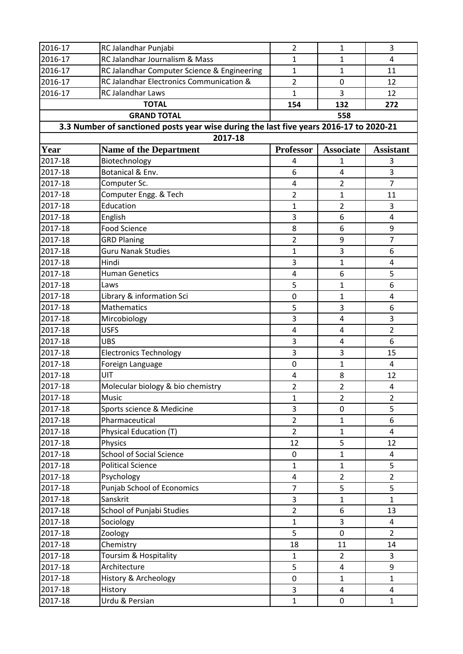| 2016-17 | RC Jalandhar Punjabi                                                                   | $\overline{2}$   | $\mathbf{1}$     | 3                |
|---------|----------------------------------------------------------------------------------------|------------------|------------------|------------------|
| 2016-17 | RC Jalandhar Journalism & Mass                                                         | 1                | $\mathbf{1}$     | 4                |
| 2016-17 | RC Jalandhar Computer Science & Engineering                                            | 1                | $\mathbf{1}$     | 11               |
| 2016-17 | RC Jalandhar Electronics Communication &                                               | $\overline{2}$   | 0                | 12               |
| 2016-17 | RC Jalandhar Laws                                                                      | 1                | 3                | 12               |
|         | <b>TOTAL</b>                                                                           | 154              | 132              | 272              |
|         |                                                                                        | 558              |                  |                  |
|         | 3.3 Number of sanctioned posts year wise during the last five years 2016-17 to 2020-21 |                  |                  |                  |
|         | 2017-18                                                                                |                  |                  |                  |
| Year    | <b>Name of the Department</b>                                                          | <b>Professor</b> | <b>Associate</b> | <b>Assistant</b> |
| 2017-18 | Biotechnology                                                                          | 4                | 1                | 3                |
| 2017-18 | Botanical & Env.                                                                       | 6                | 4                | 3                |
| 2017-18 | Computer Sc.                                                                           | 4                | $\overline{2}$   | $\overline{7}$   |
| 2017-18 | Computer Engg. & Tech                                                                  | $\overline{2}$   | $\mathbf{1}$     | 11               |
| 2017-18 | Education                                                                              | $\mathbf{1}$     | $\overline{2}$   | 3                |
| 2017-18 | English                                                                                | 3                | 6                | 4                |
| 2017-18 | <b>Food Science</b>                                                                    | 8                | 6                | 9                |
| 2017-18 | <b>GRD Planing</b>                                                                     | $\overline{2}$   | 9                | $\overline{7}$   |
| 2017-18 | <b>Guru Nanak Studies</b>                                                              | 1                | 3                | 6                |
| 2017-18 | Hindi                                                                                  | 3                | $\mathbf{1}$     | 4                |
| 2017-18 | <b>Human Genetics</b>                                                                  | 4                | 6                | 5                |
| 2017-18 | Laws                                                                                   | 5                | $\mathbf{1}$     | 6                |
| 2017-18 | Library & information Sci                                                              | $\mathbf 0$      | $\mathbf{1}$     | $\overline{4}$   |
| 2017-18 | Mathematics                                                                            | 5                | 3                | 6                |
| 2017-18 | Mircobiology                                                                           | 3                | 4                | 3                |
| 2017-18 | <b>USFS</b>                                                                            | 4                | 4                | $\overline{2}$   |
| 2017-18 | <b>UBS</b>                                                                             | 3                | 4                | 6                |
| 2017-18 | <b>Electronics Technology</b>                                                          | 3                | 3                | 15               |
| 2017-18 | Foreign Language                                                                       | 0                | $\mathbf{1}$     | 4                |
| 2017-18 | UIT                                                                                    | 4                | 8                | 12               |
| 2017-18 | Molecular biology & bio chemistry                                                      | $\overline{2}$   | $\overline{2}$   | 4                |
| 2017-18 | Music                                                                                  | 1                | $\overline{2}$   | $\overline{2}$   |
| 2017-18 | Sports science & Medicine                                                              | 3                | 0                | 5                |
| 2017-18 | Pharmaceutical                                                                         | $\overline{2}$   | $\mathbf{1}$     | 6                |
| 2017-18 | Physical Education (T)                                                                 | $\overline{2}$   | $\mathbf{1}$     | $\overline{4}$   |
| 2017-18 | Physics                                                                                | 12               | 5                | 12               |
| 2017-18 | <b>School of Social Science</b>                                                        | 0                | $\mathbf{1}$     | 4                |
| 2017-18 | <b>Political Science</b>                                                               | 1                | $\mathbf{1}$     | 5                |
| 2017-18 | Psychology                                                                             | $\overline{4}$   | $\overline{2}$   | $\overline{2}$   |
| 2017-18 | Punjab School of Economics                                                             | $\overline{7}$   | 5                | 5                |
| 2017-18 | Sanskrit                                                                               | 3                | $\mathbf{1}$     | $\mathbf{1}$     |
| 2017-18 | School of Punjabi Studies                                                              | $\overline{2}$   | 6                | 13               |
| 2017-18 | Sociology                                                                              | 1                | 3                | 4                |
| 2017-18 | Zoology                                                                                | 5                | 0                | $\overline{2}$   |
| 2017-18 | Chemistry                                                                              | 18               | 11               | 14               |
| 2017-18 | Toursim & Hospitality                                                                  | $\mathbf{1}$     | $\overline{2}$   | 3                |
| 2017-18 | Architecture                                                                           | 5                | 4                | 9                |
| 2017-18 | History & Archeology                                                                   | $\mathbf 0$      | $\mathbf{1}$     | $\mathbf{1}$     |
| 2017-18 | History                                                                                | 3                | 4                | 4                |
| 2017-18 | Urdu & Persian                                                                         | $\mathbf{1}$     | 0                | $\mathbf{1}$     |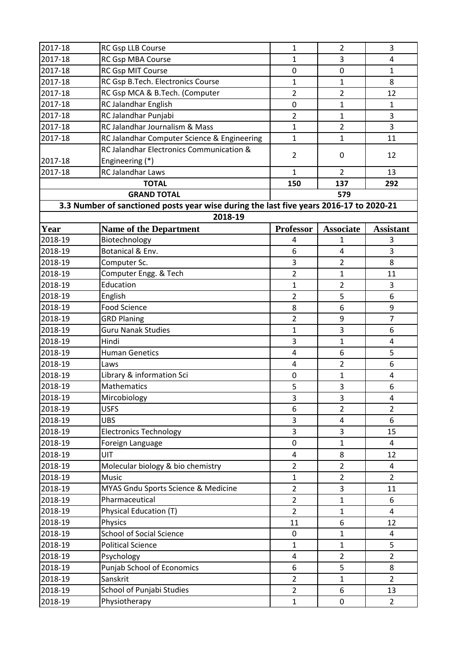| 2017-18 | RC Gsp LLB Course                                                                      | $\mathbf{1}$     | $\overline{2}$   | 3                |
|---------|----------------------------------------------------------------------------------------|------------------|------------------|------------------|
| 2017-18 | RC Gsp MBA Course                                                                      | 1                | 3                | 4                |
| 2017-18 | <b>RC Gsp MIT Course</b>                                                               | 0                | 0                | $\mathbf{1}$     |
| 2017-18 | RC Gsp B.Tech. Electronics Course                                                      | $\mathbf{1}$     | $\mathbf{1}$     | 8                |
| 2017-18 | RC Gsp MCA & B.Tech. (Computer                                                         | $\overline{2}$   | $\overline{2}$   | 12               |
| 2017-18 | RC Jalandhar English                                                                   | 0                | $\mathbf{1}$     | $\mathbf{1}$     |
| 2017-18 | RC Jalandhar Punjabi                                                                   | $\overline{2}$   | $\mathbf{1}$     | 3                |
| 2017-18 | <b>RC Jalandhar Journalism &amp; Mass</b>                                              | $\mathbf{1}$     | $\overline{2}$   | 3                |
| 2017-18 | RC Jalandhar Computer Science & Engineering                                            | $\mathbf{1}$     | $\mathbf{1}$     | 11               |
|         | RC Jalandhar Electronics Communication &                                               |                  |                  |                  |
| 2017-18 | Engineering (*)                                                                        | $\overline{2}$   | 0                | 12               |
| 2017-18 | RC Jalandhar Laws                                                                      | $\mathbf{1}$     | $\overline{2}$   | 13               |
|         | <b>TOTAL</b>                                                                           | 150              | 137              | 292              |
|         | <b>GRAND TOTAL</b>                                                                     |                  | 579              |                  |
|         | 3.3 Number of sanctioned posts year wise during the last five years 2016-17 to 2020-21 |                  |                  |                  |
|         | 2018-19                                                                                |                  |                  |                  |
| Year    | <b>Name of the Department</b>                                                          | <b>Professor</b> | <b>Associate</b> | <b>Assistant</b> |
| 2018-19 | Biotechnology                                                                          | 4                | 1                | 3                |
| 2018-19 | Botanical & Env.                                                                       | 6                | 4                | 3                |
| 2018-19 | Computer Sc.                                                                           | 3                | $\overline{2}$   | 8                |
| 2018-19 | Computer Engg. & Tech                                                                  | $\overline{2}$   | 1                | 11               |
| 2018-19 | Education                                                                              | $\mathbf{1}$     | $\overline{2}$   | 3                |
| 2018-19 | English                                                                                | $\overline{2}$   | 5                | 6                |
| 2018-19 | <b>Food Science</b>                                                                    | 8                | 6                | 9                |
| 2018-19 | <b>GRD Planing</b>                                                                     | $\overline{2}$   | 9                | $\overline{7}$   |
| 2018-19 | <b>Guru Nanak Studies</b>                                                              | $\mathbf{1}$     | 3                | 6                |
| 2018-19 | Hindi                                                                                  | 3                | $\mathbf{1}$     | 4                |
| 2018-19 | <b>Human Genetics</b>                                                                  | 4                | 6                | 5                |
| 2018-19 | Laws                                                                                   | $\overline{4}$   | $\overline{2}$   | 6                |
| 2018-19 | Library & information Sci                                                              | 0                | $\mathbf{1}$     | 4                |
| 2018-19 | Mathematics                                                                            | 5                | 3                | 6                |
| 2018-19 | Mircobiology                                                                           | 3                | 3                | 4                |
| 2018-19 | <b>USFS</b>                                                                            | 6                | $\overline{2}$   | $\overline{2}$   |
| 2018-19 | <b>UBS</b>                                                                             | 3                | 4                | 6                |
| 2018-19 | <b>Electronics Technology</b>                                                          | 3                | 3                | 15               |
| 2018-19 | Foreign Language                                                                       | 0                | $\mathbf{1}$     | 4                |
| 2018-19 | UIT                                                                                    | 4                | 8                | 12               |
| 2018-19 | Molecular biology & bio chemistry                                                      | $\overline{2}$   | $\overline{2}$   | 4                |
| 2018-19 | Music                                                                                  | $\mathbf{1}$     | $\overline{2}$   | $\overline{2}$   |
| 2018-19 | MYAS Gndu Sports Science & Medicine                                                    | $\overline{2}$   | 3                | 11               |
| 2018-19 | Pharmaceutical                                                                         | $\overline{2}$   | $\mathbf{1}$     | 6                |
| 2018-19 | Physical Education (T)                                                                 | $\overline{2}$   | $\mathbf{1}$     | 4                |
| 2018-19 | Physics                                                                                | 11               | 6                | 12               |
| 2018-19 | <b>School of Social Science</b>                                                        | 0                | $\mathbf{1}$     | 4                |
| 2018-19 | <b>Political Science</b>                                                               | $\mathbf{1}$     | $\mathbf{1}$     | 5                |
| 2018-19 | Psychology                                                                             | 4                | $\overline{2}$   | $\overline{2}$   |
| 2018-19 | Punjab School of Economics                                                             | 6                | 5                | 8                |
| 2018-19 | Sanskrit                                                                               | $\overline{2}$   | $\mathbf{1}$     | $\overline{2}$   |
| 2018-19 | School of Punjabi Studies                                                              | $\overline{2}$   | 6                | 13               |
| 2018-19 | Physiotherapy                                                                          | $\mathbf{1}$     | 0                | $\overline{2}$   |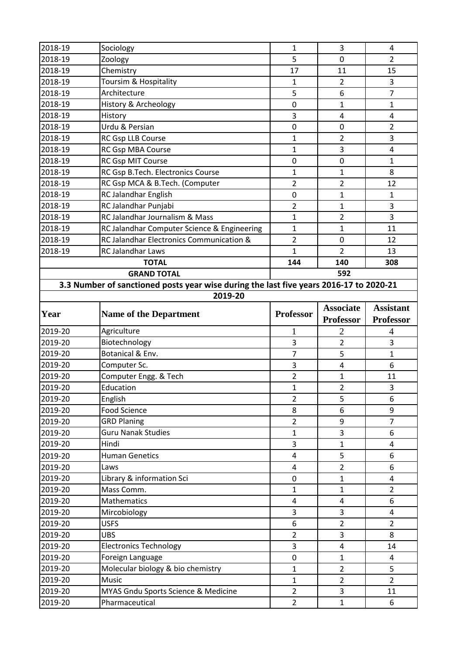| 2018-19            | Sociology                                                                              | 1                | 3                | 4                       |
|--------------------|----------------------------------------------------------------------------------------|------------------|------------------|-------------------------|
| 2018-19            | Zoology                                                                                | 5                | $\mathbf 0$      | $\overline{2}$          |
| 2018-19            | Chemistry                                                                              | 17               | 11               | 15                      |
| 2018-19            | Toursim & Hospitality                                                                  | $\mathbf{1}$     | $\overline{2}$   | 3                       |
| 2018-19            | Architecture                                                                           | 5                | 6                | $\overline{7}$          |
| 2018-19            | History & Archeology                                                                   | 0                | $\mathbf{1}$     | $\mathbf{1}$            |
| 2018-19            | History                                                                                | 3                | 4                | 4                       |
| 2018-19            | Urdu & Persian                                                                         | $\pmb{0}$        | $\pmb{0}$        | $\overline{2}$          |
| 2018-19            | RC Gsp LLB Course                                                                      | 1                | $\overline{2}$   | 3                       |
| 2018-19            | RC Gsp MBA Course                                                                      | $\mathbf{1}$     | 3                | $\overline{\mathbf{4}}$ |
| 2018-19            | RC Gsp MIT Course                                                                      | 0                | $\mathbf 0$      | $\mathbf{1}$            |
| 2018-19            | RC Gsp B.Tech. Electronics Course                                                      | $\mathbf{1}$     | 1                | 8                       |
| 2018-19            | RC Gsp MCA & B.Tech. (Computer                                                         | $\overline{2}$   | $\overline{2}$   | 12                      |
| 2018-19            | RC Jalandhar English                                                                   | 0                | $\mathbf{1}$     | $\mathbf{1}$            |
| 2018-19            | RC Jalandhar Punjabi                                                                   | 2                | $\mathbf{1}$     | 3                       |
| 2018-19            | <b>RC Jalandhar Journalism &amp; Mass</b>                                              | $\mathbf{1}$     | $\overline{2}$   | $\overline{3}$          |
| 2018-19            | RC Jalandhar Computer Science & Engineering                                            | $\mathbf{1}$     | $\mathbf{1}$     | 11                      |
| 2018-19            | RC Jalandhar Electronics Communication &                                               | $\overline{2}$   | $\mathbf 0$      | 12                      |
| 2018-19            | RC Jalandhar Laws                                                                      | 1                | $\overline{2}$   | 13                      |
|                    | <b>TOTAL</b>                                                                           | 144              | 140              | 308                     |
|                    | <b>GRAND TOTAL</b>                                                                     |                  | 592              |                         |
|                    | 3.3 Number of sanctioned posts year wise during the last five years 2016-17 to 2020-21 |                  |                  |                         |
|                    | 2019-20                                                                                |                  |                  |                         |
|                    |                                                                                        | <b>Professor</b> | <b>Associate</b> | <b>Assistant</b>        |
| Year               | <b>Name of the Department</b>                                                          |                  | <b>Professor</b> | <b>Professor</b>        |
|                    |                                                                                        |                  |                  |                         |
| 2019-20            | Agriculture                                                                            | $\mathbf{1}$     | 2                | 4                       |
| 2019-20            | Biotechnology                                                                          | 3                | $\overline{2}$   | 3                       |
| 2019-20            | Botanical & Env.                                                                       | $\overline{7}$   | 5                | 1                       |
| 2019-20            | Computer Sc.                                                                           | 3                | 4                | 6                       |
| 2019-20            | Computer Engg. & Tech                                                                  | 2                | $\mathbf{1}$     | 11                      |
| 2019-20            | Education                                                                              | $\mathbf{1}$     | $\overline{2}$   | 3                       |
| 2019-20            | English                                                                                | $\overline{2}$   | 5                | 6                       |
| 2019-20            | <b>Food Science</b>                                                                    | 8                | 6                | 9                       |
| 2019-20            | <b>GRD Planing</b>                                                                     | $\overline{2}$   | 9                | $\overline{7}$          |
| 2019-20            | <b>Guru Nanak Studies</b>                                                              | $\mathbf{1}$     | 3                | 6                       |
| 2019-20            | Hindi                                                                                  | 3                | $\mathbf{1}$     | 4                       |
| 2019-20            | <b>Human Genetics</b>                                                                  | 4                | 5                | 6                       |
| 2019-20            | Laws                                                                                   | $\overline{4}$   | $\overline{2}$   | 6                       |
| 2019-20            | Library & information Sci                                                              | $\mathbf 0$      | $\mathbf{1}$     | $\overline{\mathbf{4}}$ |
| 2019-20            | Mass Comm.                                                                             | $\mathbf{1}$     | $\mathbf{1}$     | $\overline{2}$          |
| 2019-20            | Mathematics                                                                            | 4                | 4                | 6                       |
| 2019-20            | Mircobiology                                                                           | 3                | 3                | 4                       |
| 2019-20            | <b>USFS</b>                                                                            | 6                | $\overline{2}$   | $\overline{2}$          |
| 2019-20            | <b>UBS</b>                                                                             | $\overline{2}$   | 3                | 8                       |
| 2019-20            | <b>Electronics Technology</b>                                                          | 3                | 4                | 14                      |
| 2019-20            | Foreign Language                                                                       | $\mathbf 0$      | $\mathbf{1}$     | $\overline{4}$          |
| 2019-20            | Molecular biology & bio chemistry                                                      | $\mathbf{1}$     | $\overline{2}$   | 5                       |
| 2019-20            | Music                                                                                  | $\mathbf{1}$     | $\overline{2}$   | $\overline{2}$          |
| 2019-20<br>2019-20 | MYAS Gndu Sports Science & Medicine<br>Pharmaceutical                                  | $\overline{2}$   | 3                | 11                      |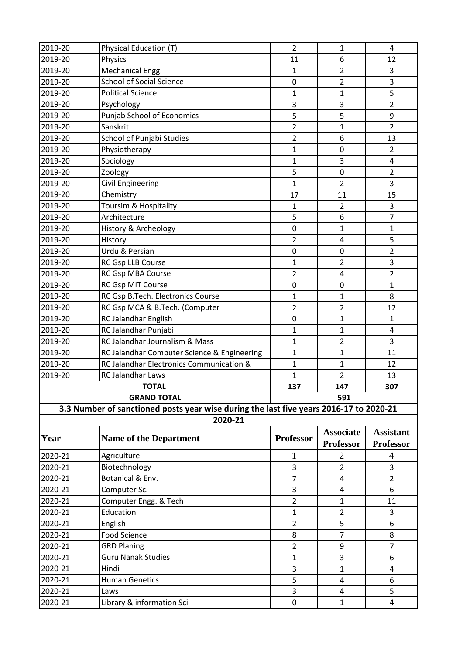| 2019-20 | Physical Education (T)                                                                 | $\overline{2}$   | $\mathbf{1}$                         | 4                                    |  |
|---------|----------------------------------------------------------------------------------------|------------------|--------------------------------------|--------------------------------------|--|
| 2019-20 | Physics                                                                                | 11               | 6                                    | 12                                   |  |
| 2019-20 | Mechanical Engg.                                                                       | 1                | $\overline{2}$                       | 3                                    |  |
| 2019-20 | <b>School of Social Science</b>                                                        | 0                | $\overline{2}$                       | 3                                    |  |
| 2019-20 | <b>Political Science</b>                                                               | $\mathbf{1}$     | $\mathbf{1}$                         | 5                                    |  |
| 2019-20 | Psychology                                                                             | 3                | 3                                    | $\overline{2}$                       |  |
| 2019-20 | Punjab School of Economics                                                             | 5                | 5                                    | 9                                    |  |
| 2019-20 | Sanskrit                                                                               | $\overline{2}$   | 1                                    | $\overline{2}$                       |  |
| 2019-20 | School of Punjabi Studies                                                              | $\overline{2}$   | 6                                    | 13                                   |  |
| 2019-20 | Physiotherapy                                                                          | $\mathbf{1}$     | $\mathbf 0$                          | $\overline{2}$                       |  |
| 2019-20 | Sociology                                                                              | $\mathbf{1}$     | 3                                    | 4                                    |  |
| 2019-20 | Zoology                                                                                | 5                | $\pmb{0}$                            | $\overline{2}$                       |  |
| 2019-20 | <b>Civil Engineering</b>                                                               | $\mathbf{1}$     | $\overline{2}$                       | 3                                    |  |
| 2019-20 | Chemistry                                                                              | 17               | 11                                   | 15                                   |  |
| 2019-20 | Toursim & Hospitality                                                                  | 1                | 2                                    | 3                                    |  |
| 2019-20 | Architecture                                                                           | 5                | 6                                    | 7                                    |  |
| 2019-20 | History & Archeology                                                                   | 0                | $\mathbf 1$                          | $\mathbf 1$                          |  |
| 2019-20 | History                                                                                | $\overline{2}$   | $\overline{4}$                       | 5                                    |  |
| 2019-20 | Urdu & Persian                                                                         | 0                | 0                                    | $\overline{2}$                       |  |
| 2019-20 | RC Gsp LLB Course                                                                      | $\mathbf{1}$     | $\overline{2}$                       | 3                                    |  |
| 2019-20 | RC Gsp MBA Course                                                                      | $\overline{2}$   | $\overline{4}$                       | 2                                    |  |
| 2019-20 | RC Gsp MIT Course                                                                      | 0                | 0                                    | 1                                    |  |
| 2019-20 | RC Gsp B.Tech. Electronics Course                                                      | $\mathbf{1}$     | $\mathbf 1$                          | 8                                    |  |
| 2019-20 | RC Gsp MCA & B.Tech. (Computer                                                         | $\overline{2}$   | $\overline{2}$                       | 12                                   |  |
| 2019-20 | RC Jalandhar English                                                                   | 0                | 1                                    | 1                                    |  |
| 2019-20 | RC Jalandhar Punjabi                                                                   | $\mathbf{1}$     | 1                                    | $\overline{4}$                       |  |
| 2019-20 | RC Jalandhar Journalism & Mass                                                         | $\mathbf{1}$     | $\overline{2}$                       | 3                                    |  |
| 2019-20 | RC Jalandhar Computer Science & Engineering                                            | $\mathbf{1}$     | $\mathbf{1}$                         | 11                                   |  |
| 2019-20 | RC Jalandhar Electronics Communication &                                               | $\mathbf{1}$     | $\mathbf{1}$                         | 12                                   |  |
| 2019-20 | RC Jalandhar Laws                                                                      | 1                | $\overline{2}$                       | 13                                   |  |
|         | <b>TOTAL</b>                                                                           | 137              | 147                                  | 307                                  |  |
|         | <b>GRAND TOTAL</b>                                                                     | 591              |                                      |                                      |  |
|         | 3.3 Number of sanctioned posts year wise during the last five years 2016-17 to 2020-21 |                  |                                      |                                      |  |
| 2020-21 |                                                                                        |                  |                                      |                                      |  |
| Year    | <b>Name of the Department</b>                                                          | <b>Professor</b> | <b>Associate</b><br><b>Professor</b> | <b>Assistant</b><br><b>Professor</b> |  |
| 2020-21 | Agriculture                                                                            | 1                | $\overline{2}$                       | $\overline{4}$                       |  |
| 2020-21 | Biotechnology                                                                          | 3                | $\overline{2}$                       | 3                                    |  |
| 2020-21 | Botanical & Env.                                                                       | 7                | 4                                    | $\overline{2}$                       |  |
| 2020-21 | Computer Sc.                                                                           | 3                | 4                                    | 6                                    |  |
| 2020-21 | Computer Engg. & Tech                                                                  | $\overline{2}$   | $\mathbf{1}$                         | 11                                   |  |
| 2020-21 | Education                                                                              | $\mathbf{1}$     | $\overline{2}$                       | 3                                    |  |
| 2020-21 | English                                                                                | $\overline{2}$   | 5                                    | 6                                    |  |
| 2020-21 | <b>Food Science</b>                                                                    | 8                | $\overline{7}$                       | 8                                    |  |
| 2020-21 | <b>GRD Planing</b>                                                                     | $\overline{2}$   | 9                                    | 7                                    |  |
| 2020-21 | <b>Guru Nanak Studies</b>                                                              | 1                | 3                                    | 6                                    |  |
| 2020-21 | Hindi                                                                                  | 3                | $\mathbf{1}$                         | 4                                    |  |
| 2020-21 | <b>Human Genetics</b>                                                                  | 5                | 4                                    | 6                                    |  |
| 2020-21 | Laws                                                                                   | 3                | $\overline{\mathbf{4}}$              | 5                                    |  |
| 2020-21 | Library & information Sci                                                              | 0                | $\mathbf{1}$                         | 4                                    |  |